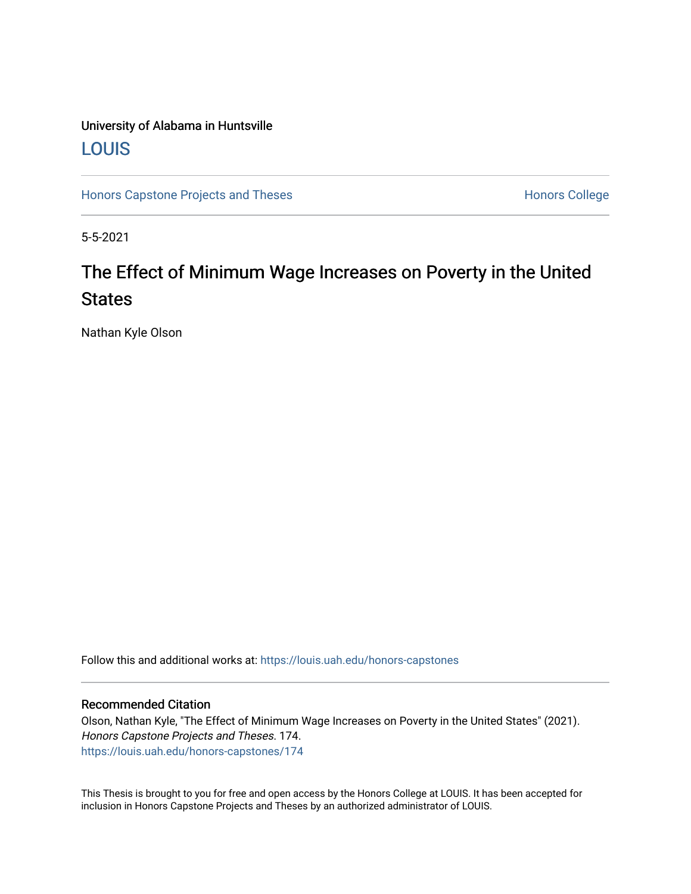# University of Alabama in Huntsville [LOUIS](https://louis.uah.edu/)

[Honors Capstone Projects and Theses](https://louis.uah.edu/honors-capstones) **Honors College** Honors College

5-5-2021

# The Effect of Minimum Wage Increases on Poverty in the United **States**

Nathan Kyle Olson

Follow this and additional works at: [https://louis.uah.edu/honors-capstones](https://louis.uah.edu/honors-capstones?utm_source=louis.uah.edu%2Fhonors-capstones%2F174&utm_medium=PDF&utm_campaign=PDFCoverPages) 

#### Recommended Citation

Olson, Nathan Kyle, "The Effect of Minimum Wage Increases on Poverty in the United States" (2021). Honors Capstone Projects and Theses. 174. [https://louis.uah.edu/honors-capstones/174](https://louis.uah.edu/honors-capstones/174?utm_source=louis.uah.edu%2Fhonors-capstones%2F174&utm_medium=PDF&utm_campaign=PDFCoverPages) 

This Thesis is brought to you for free and open access by the Honors College at LOUIS. It has been accepted for inclusion in Honors Capstone Projects and Theses by an authorized administrator of LOUIS.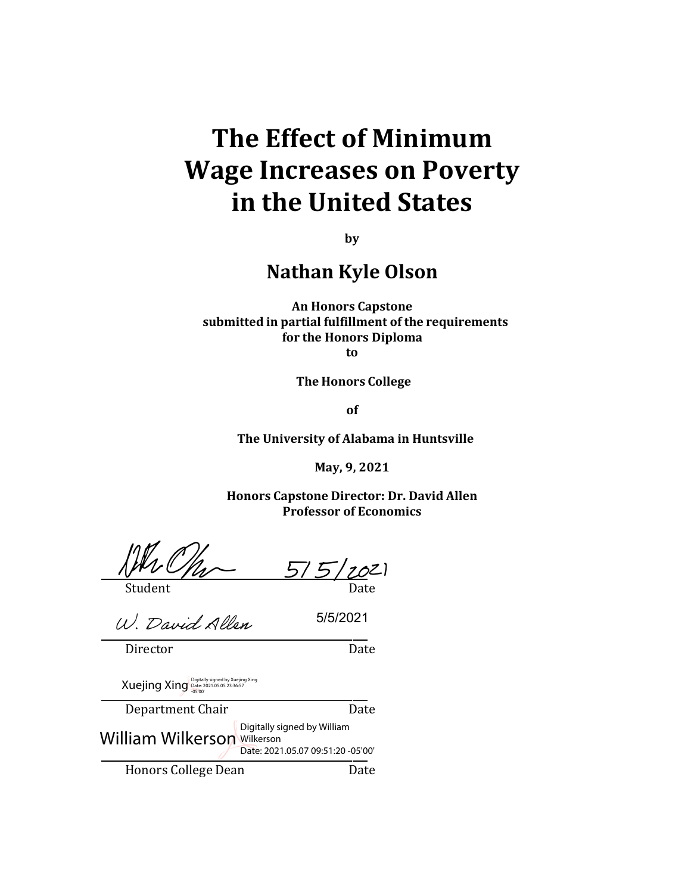# **The Effect of Minimum Wage Increases on Poverty in the United States**

**by**

**Nathan Kyle Olson**

**An Honors Capstone submitted in partial fulfillment of the requirements for the Honors Diploma**

**to**

**The Honors College**

**of**

**The University of Alabama in Huntsville**

**May, 9, 2021**

**Honors Capstone Director: Dr. David Allen Professor of Economics**

Student Date

 $7021$ 

5/5/2021

 $5/5$ 

W. David Allen

Director Date

Xuejing Xing Digitally signed by Xuejing Xing

Department Chair Date Honors College Dean Date Digitally signed by William<br>William Wilkerson Wilkerson Date: 2021.05.07 09:51:20 -05'00'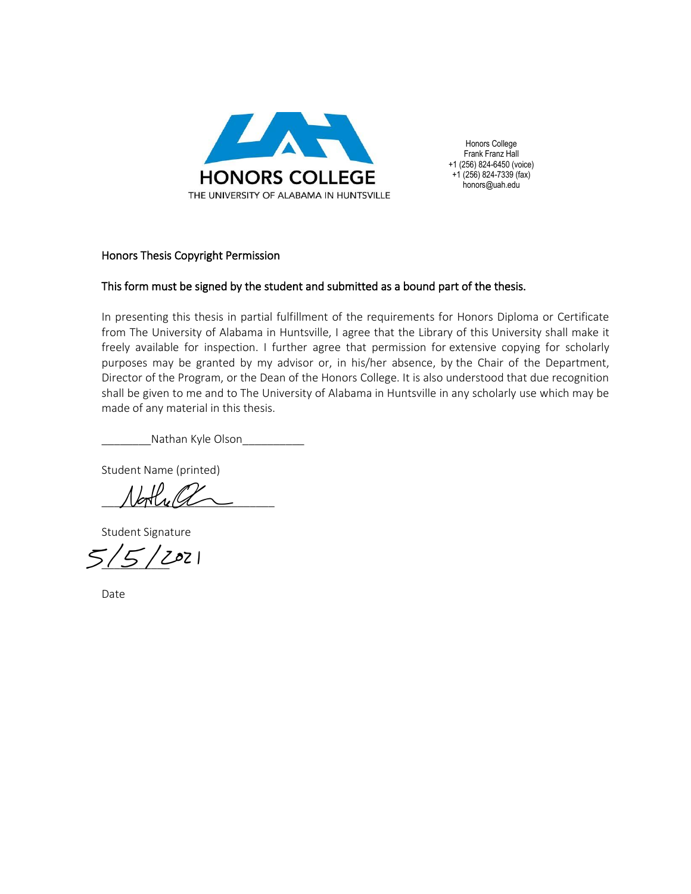

Honors College Frank Franz Hall +1 (256) 824-6450 (voice) +1 (256) 824-7339 (fax) honors@uah.edu

#### Honors Thesis Copyright Permission

#### This form must be signed by the student and submitted as a bound part of the thesis.

In presenting this thesis in partial fulfillment of the requirements for Honors Diploma or Certificate from The University of Alabama in Huntsville, I agree that the Library of this University shall make it freely available for inspection. I further agree that permission for extensive copying for scholarly purposes may be granted by my advisor or, in his/her absence, by the Chair of the Department, Director of the Program, or the Dean of the Honors College. It is also understood that due recognition shall be given to me and to The University of Alabama in Huntsville in any scholarly use which may be made of any material in this thesis.

Nathan Kyle Olson

Student Name (printed)

 $N$ bothe al

Student Signature

 $\frac{1}{5}/2021$ 

Date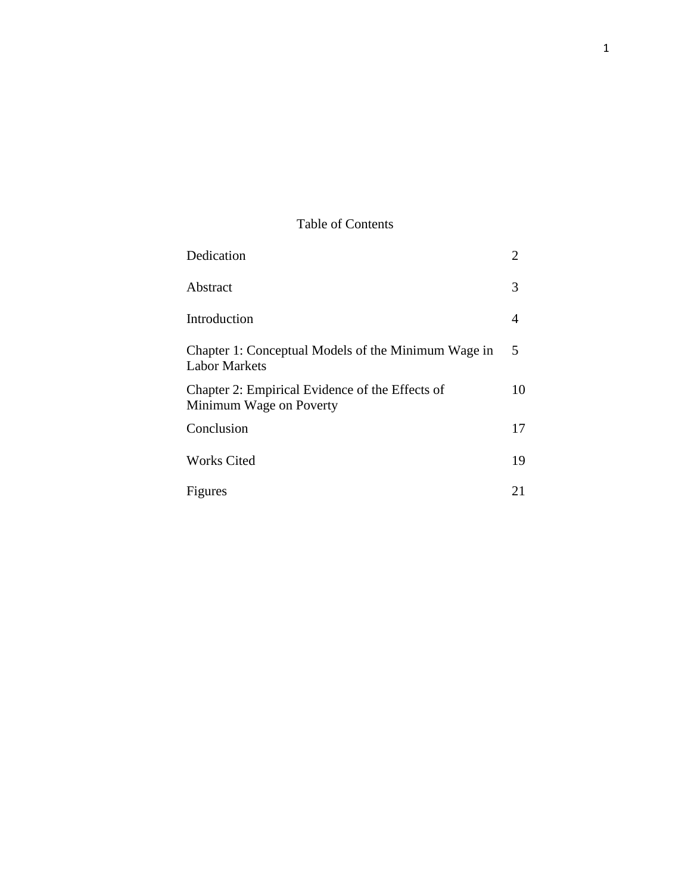### Table of Contents

| Dedication                                                                  | $\overline{2}$ |
|-----------------------------------------------------------------------------|----------------|
| Abstract                                                                    | 3              |
| Introduction                                                                | 4              |
| Chapter 1: Conceptual Models of the Minimum Wage in<br><b>Labor Markets</b> | 5              |
| Chapter 2: Empirical Evidence of the Effects of<br>Minimum Wage on Poverty  | 10             |
| Conclusion                                                                  | 17             |
| <b>Works Cited</b>                                                          | 19             |
| Figures                                                                     | 21             |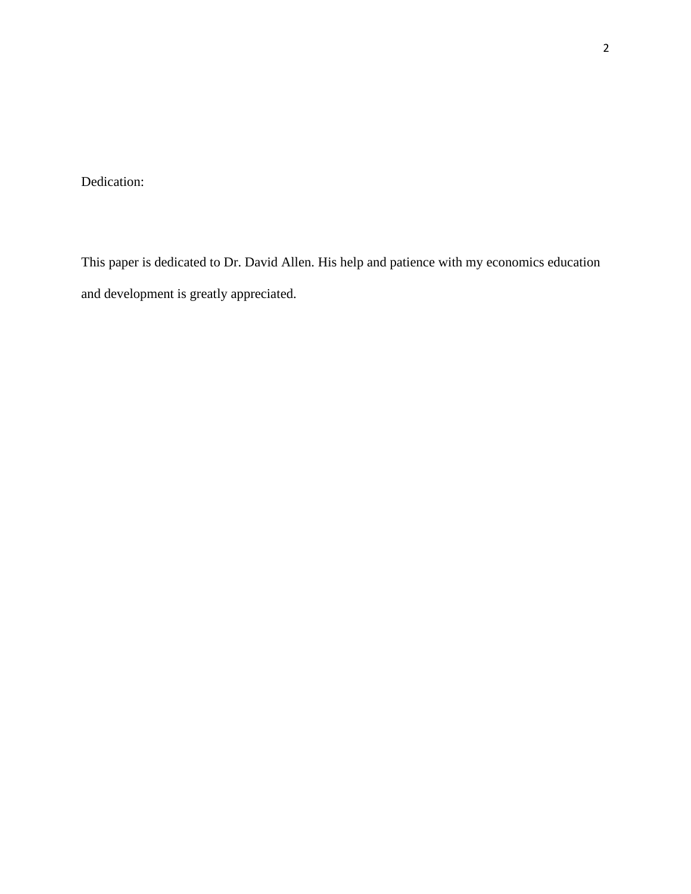Dedication:

This paper is dedicated to Dr. David Allen. His help and patience with my economics education and development is greatly appreciated.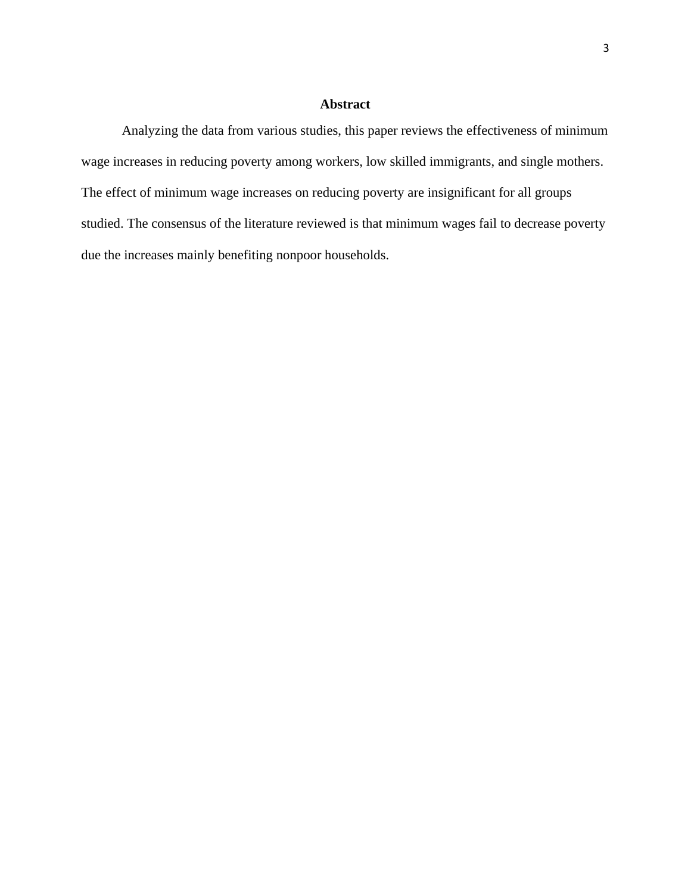#### **Abstract**

Analyzing the data from various studies, this paper reviews the effectiveness of minimum wage increases in reducing poverty among workers, low skilled immigrants, and single mothers. The effect of minimum wage increases on reducing poverty are insignificant for all groups studied. The consensus of the literature reviewed is that minimum wages fail to decrease poverty due the increases mainly benefiting nonpoor households.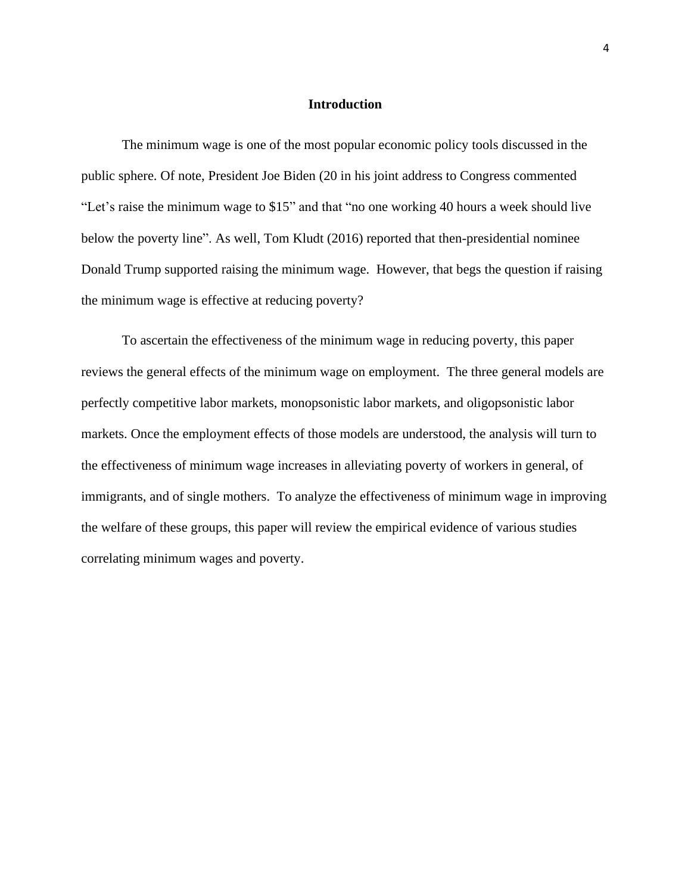#### **Introduction**

The minimum wage is one of the most popular economic policy tools discussed in the public sphere. Of note, President Joe Biden (20 in his joint address to Congress commented "Let's raise the minimum wage to \$15" and that "no one working 40 hours a week should live below the poverty line". As well, Tom Kludt (2016) reported that then-presidential nominee Donald Trump supported raising the minimum wage. However, that begs the question if raising the minimum wage is effective at reducing poverty?

To ascertain the effectiveness of the minimum wage in reducing poverty, this paper reviews the general effects of the minimum wage on employment. The three general models are perfectly competitive labor markets, monopsonistic labor markets, and oligopsonistic labor markets. Once the employment effects of those models are understood, the analysis will turn to the effectiveness of minimum wage increases in alleviating poverty of workers in general, of immigrants, and of single mothers. To analyze the effectiveness of minimum wage in improving the welfare of these groups, this paper will review the empirical evidence of various studies correlating minimum wages and poverty.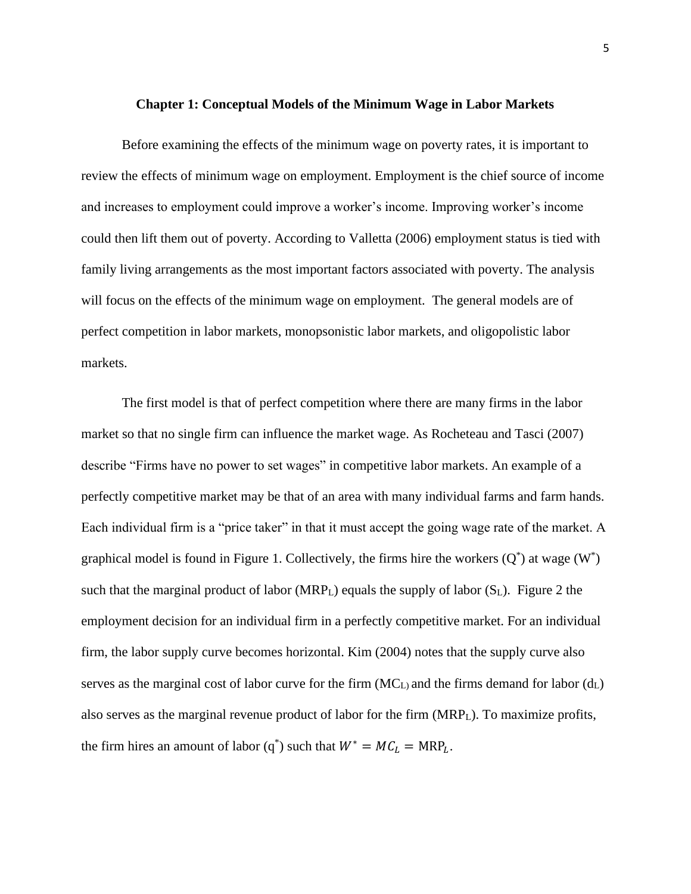#### **Chapter 1: Conceptual Models of the Minimum Wage in Labor Markets**

Before examining the effects of the minimum wage on poverty rates, it is important to review the effects of minimum wage on employment. Employment is the chief source of income and increases to employment could improve a worker's income. Improving worker's income could then lift them out of poverty. According to Valletta (2006) employment status is tied with family living arrangements as the most important factors associated with poverty. The analysis will focus on the effects of the minimum wage on employment. The general models are of perfect competition in labor markets, monopsonistic labor markets, and oligopolistic labor markets.

The first model is that of perfect competition where there are many firms in the labor market so that no single firm can influence the market wage. As Rocheteau and Tasci (2007) describe "Firms have no power to set wages" in competitive labor markets. An example of a perfectly competitive market may be that of an area with many individual farms and farm hands. Each individual firm is a "price taker" in that it must accept the going wage rate of the market. A graphical model is found in Figure 1. Collectively, the firms hire the workers  $(Q^*)$  at wage  $(W^*)$ such that the marginal product of labor ( $MRP<sub>L</sub>$ ) equals the supply of labor ( $S<sub>L</sub>$ ). Figure 2 the employment decision for an individual firm in a perfectly competitive market. For an individual firm, the labor supply curve becomes horizontal. Kim (2004) notes that the supply curve also serves as the marginal cost of labor curve for the firm  $(MC_L)$  and the firms demand for labor  $(d_L)$ also serves as the marginal revenue product of labor for the firm  $(MRP<sub>L</sub>)$ . To maximize profits, the firm hires an amount of labor (q<sup>\*</sup>) such that  $W^* = MC_L = MRP_L$ .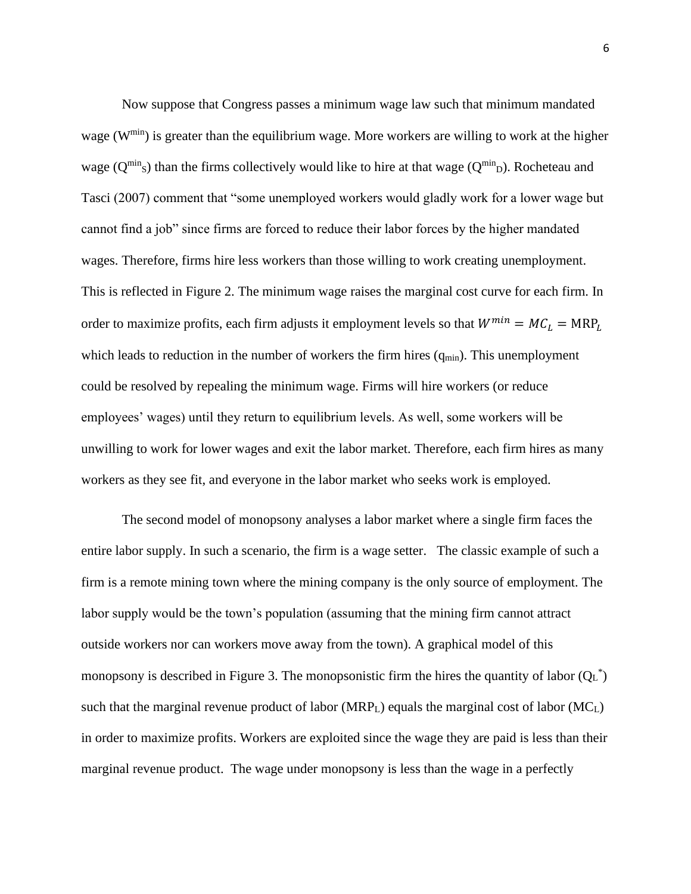Now suppose that Congress passes a minimum wage law such that minimum mandated wage (W<sup>min</sup>) is greater than the equilibrium wage. More workers are willing to work at the higher wage ( $Q^{\min}$ s) than the firms collectively would like to hire at that wage ( $Q^{\min}$ <sub>D</sub>). Rocheteau and Tasci (2007) comment that "some unemployed workers would gladly work for a lower wage but cannot find a job" since firms are forced to reduce their labor forces by the higher mandated wages. Therefore, firms hire less workers than those willing to work creating unemployment. This is reflected in Figure 2. The minimum wage raises the marginal cost curve for each firm. In order to maximize profits, each firm adjusts it employment levels so that  $W^{min} = MC_L = MRP_L$ which leads to reduction in the number of workers the firm hires  $(q_{min})$ . This unemployment could be resolved by repealing the minimum wage. Firms will hire workers (or reduce employees' wages) until they return to equilibrium levels. As well, some workers will be unwilling to work for lower wages and exit the labor market. Therefore, each firm hires as many workers as they see fit, and everyone in the labor market who seeks work is employed.

The second model of monopsony analyses a labor market where a single firm faces the entire labor supply. In such a scenario, the firm is a wage setter. The classic example of such a firm is a remote mining town where the mining company is the only source of employment. The labor supply would be the town's population (assuming that the mining firm cannot attract outside workers nor can workers move away from the town). A graphical model of this monopsony is described in Figure 3. The monopsonistic firm the hires the quantity of labor  $(Q_L^*)$ such that the marginal revenue product of labor (MRP<sub>L</sub>) equals the marginal cost of labor (MC<sub>L</sub>) in order to maximize profits. Workers are exploited since the wage they are paid is less than their marginal revenue product. The wage under monopsony is less than the wage in a perfectly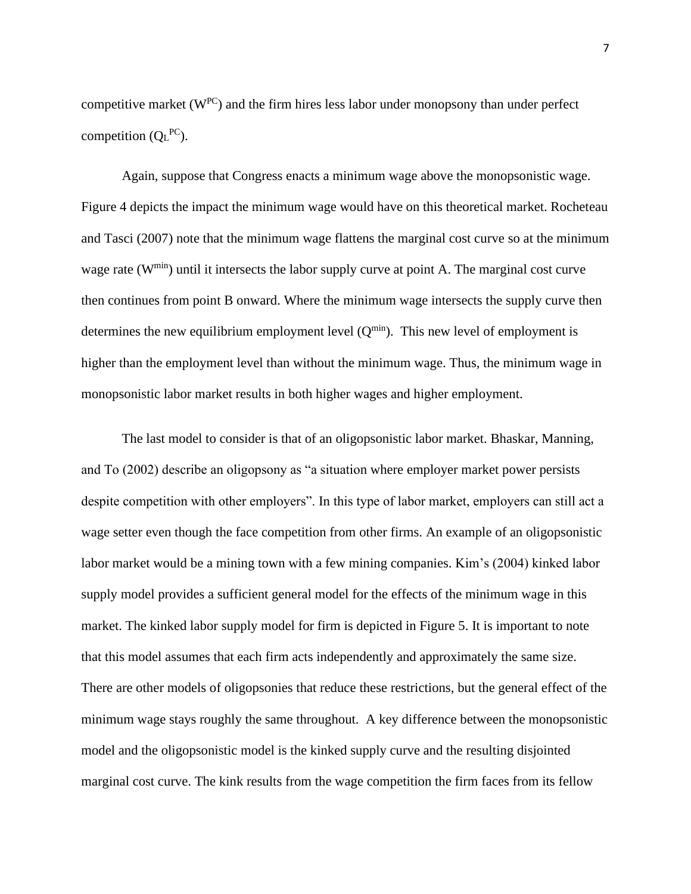competitive market  $(W^{PC})$  and the firm hires less labor under monopsony than under perfect competition  $(Q_L^{PC})$ .

Again, suppose that Congress enacts a minimum wage above the monopsonistic wage. Figure 4 depicts the impact the minimum wage would have on this theoretical market. Rocheteau and Tasci (2007) note that the minimum wage flattens the marginal cost curve so at the minimum wage rate (W<sup>min</sup>) until it intersects the labor supply curve at point A. The marginal cost curve then continues from point B onward. Where the minimum wage intersects the supply curve then determines the new equilibrium employment level  $(Q^{min})$ . This new level of employment is higher than the employment level than without the minimum wage. Thus, the minimum wage in monopsonistic labor market results in both higher wages and higher employment.

The last model to consider is that of an oligopsonistic labor market. Bhaskar, Manning, and To (2002) describe an oligopsony as "a situation where employer market power persists despite competition with other employers". In this type of labor market, employers can still act a wage setter even though the face competition from other firms. An example of an oligopsonistic labor market would be a mining town with a few mining companies. Kim's (2004) kinked labor supply model provides a sufficient general model for the effects of the minimum wage in this market. The kinked labor supply model for firm is depicted in Figure 5. It is important to note that this model assumes that each firm acts independently and approximately the same size. There are other models of oligopsonies that reduce these restrictions, but the general effect of the minimum wage stays roughly the same throughout. A key difference between the monopsonistic model and the oligopsonistic model is the kinked supply curve and the resulting disjointed marginal cost curve. The kink results from the wage competition the firm faces from its fellow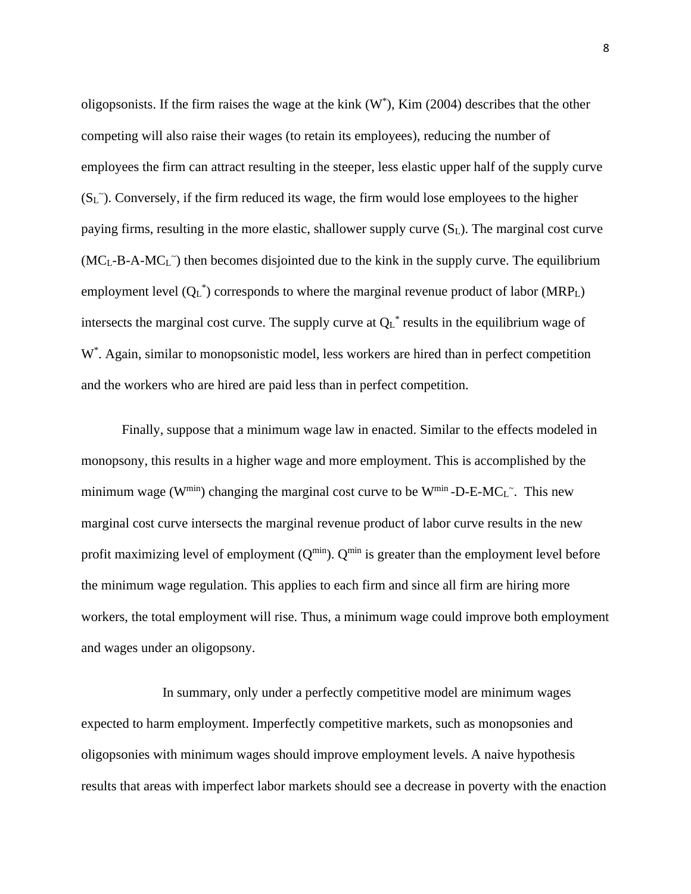oligopsonists. If the firm raises the wage at the kink  $(W^*)$ , Kim (2004) describes that the other competing will also raise their wages (to retain its employees), reducing the number of employees the firm can attract resulting in the steeper, less elastic upper half of the supply curve  $(S_L^{\sim})$ . Conversely, if the firm reduced its wage, the firm would lose employees to the higher paying firms, resulting in the more elastic, shallower supply curve (SL). The marginal cost curve  $(MC_L-B-A-MC_L)$  then becomes disjointed due to the kink in the supply curve. The equilibrium employment level  $(Q_L^*)$  corresponds to where the marginal revenue product of labor (MRP<sub>L</sub>) intersects the marginal cost curve. The supply curve at  $Q_L^*$  results in the equilibrium wage of W<sup>\*</sup>. Again, similar to monopsonistic model, less workers are hired than in perfect competition and the workers who are hired are paid less than in perfect competition.

Finally, suppose that a minimum wage law in enacted. Similar to the effects modeled in monopsony, this results in a higher wage and more employment. This is accomplished by the minimum wage ( $W^{min}$ ) changing the marginal cost curve to be  $W^{min}$ -D-E-MC<sub>L</sub><sup> $\sim$ </sup>. This new marginal cost curve intersects the marginal revenue product of labor curve results in the new profit maximizing level of employment  $(Q^{min})$ .  $Q^{min}$  is greater than the employment level before the minimum wage regulation. This applies to each firm and since all firm are hiring more workers, the total employment will rise. Thus, a minimum wage could improve both employment and wages under an oligopsony.

In summary, only under a perfectly competitive model are minimum wages expected to harm employment. Imperfectly competitive markets, such as monopsonies and oligopsonies with minimum wages should improve employment levels. A naive hypothesis results that areas with imperfect labor markets should see a decrease in poverty with the enaction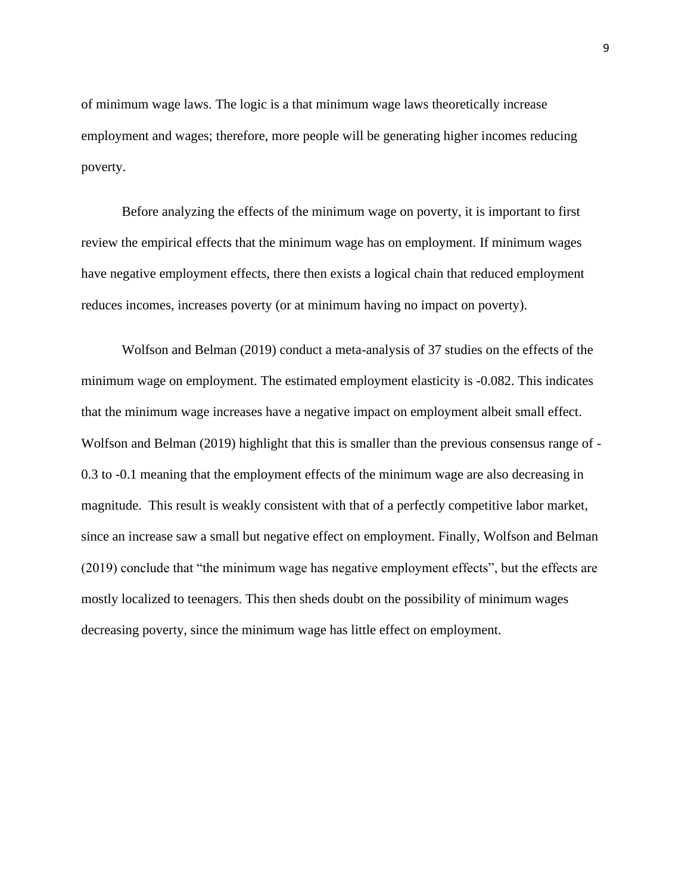of minimum wage laws. The logic is a that minimum wage laws theoretically increase employment and wages; therefore, more people will be generating higher incomes reducing poverty.

Before analyzing the effects of the minimum wage on poverty, it is important to first review the empirical effects that the minimum wage has on employment. If minimum wages have negative employment effects, there then exists a logical chain that reduced employment reduces incomes, increases poverty (or at minimum having no impact on poverty).

Wolfson and Belman (2019) conduct a meta-analysis of 37 studies on the effects of the minimum wage on employment. The estimated employment elasticity is -0.082. This indicates that the minimum wage increases have a negative impact on employment albeit small effect. Wolfson and Belman (2019) highlight that this is smaller than the previous consensus range of -0.3 to -0.1 meaning that the employment effects of the minimum wage are also decreasing in magnitude. This result is weakly consistent with that of a perfectly competitive labor market, since an increase saw a small but negative effect on employment. Finally, Wolfson and Belman (2019) conclude that "the minimum wage has negative employment effects", but the effects are mostly localized to teenagers. This then sheds doubt on the possibility of minimum wages decreasing poverty, since the minimum wage has little effect on employment.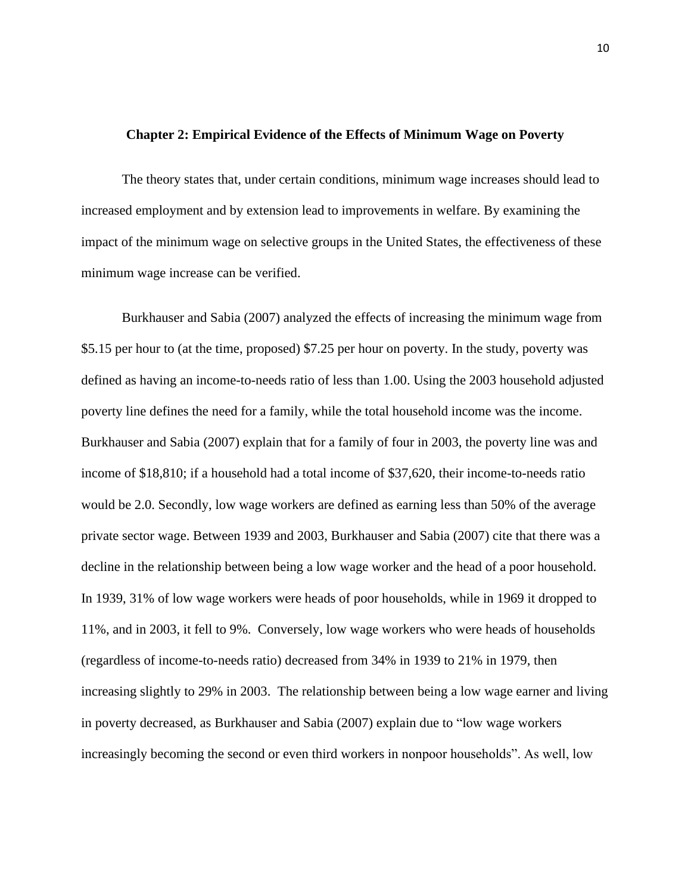#### **Chapter 2: Empirical Evidence of the Effects of Minimum Wage on Poverty**

The theory states that, under certain conditions, minimum wage increases should lead to increased employment and by extension lead to improvements in welfare. By examining the impact of the minimum wage on selective groups in the United States, the effectiveness of these minimum wage increase can be verified.

Burkhauser and Sabia (2007) analyzed the effects of increasing the minimum wage from \$5.15 per hour to (at the time, proposed) \$7.25 per hour on poverty. In the study, poverty was defined as having an income-to-needs ratio of less than 1.00. Using the 2003 household adjusted poverty line defines the need for a family, while the total household income was the income. Burkhauser and Sabia (2007) explain that for a family of four in 2003, the poverty line was and income of \$18,810; if a household had a total income of \$37,620, their income-to-needs ratio would be 2.0. Secondly, low wage workers are defined as earning less than 50% of the average private sector wage. Between 1939 and 2003, Burkhauser and Sabia (2007) cite that there was a decline in the relationship between being a low wage worker and the head of a poor household. In 1939, 31% of low wage workers were heads of poor households, while in 1969 it dropped to 11%, and in 2003, it fell to 9%. Conversely, low wage workers who were heads of households (regardless of income-to-needs ratio) decreased from 34% in 1939 to 21% in 1979, then increasing slightly to 29% in 2003. The relationship between being a low wage earner and living in poverty decreased, as Burkhauser and Sabia (2007) explain due to "low wage workers increasingly becoming the second or even third workers in nonpoor households". As well, low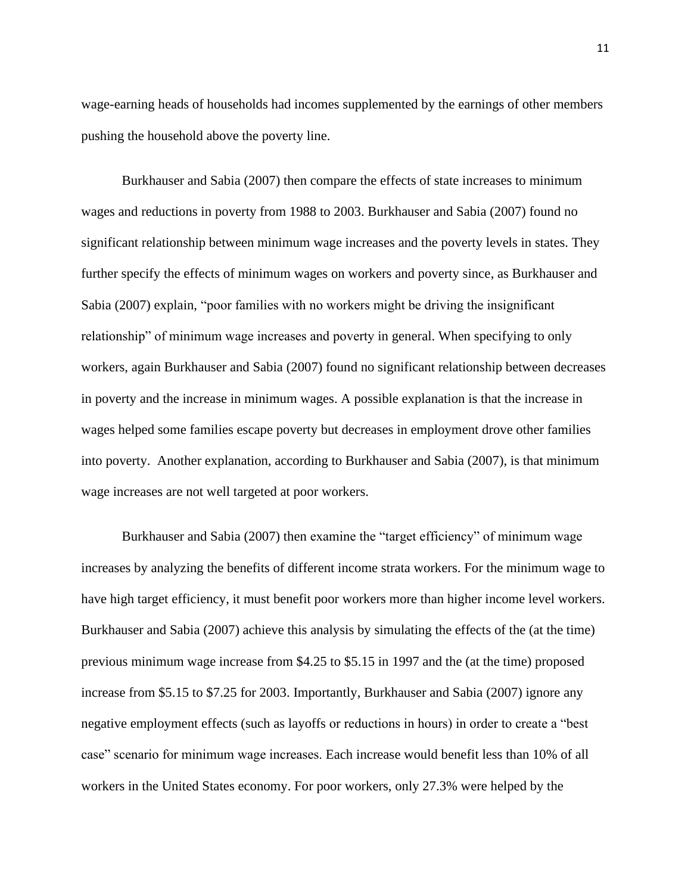wage-earning heads of households had incomes supplemented by the earnings of other members pushing the household above the poverty line.

Burkhauser and Sabia (2007) then compare the effects of state increases to minimum wages and reductions in poverty from 1988 to 2003. Burkhauser and Sabia (2007) found no significant relationship between minimum wage increases and the poverty levels in states. They further specify the effects of minimum wages on workers and poverty since, as Burkhauser and Sabia (2007) explain, "poor families with no workers might be driving the insignificant relationship" of minimum wage increases and poverty in general. When specifying to only workers, again Burkhauser and Sabia (2007) found no significant relationship between decreases in poverty and the increase in minimum wages. A possible explanation is that the increase in wages helped some families escape poverty but decreases in employment drove other families into poverty. Another explanation, according to Burkhauser and Sabia (2007), is that minimum wage increases are not well targeted at poor workers.

Burkhauser and Sabia (2007) then examine the "target efficiency" of minimum wage increases by analyzing the benefits of different income strata workers. For the minimum wage to have high target efficiency, it must benefit poor workers more than higher income level workers. Burkhauser and Sabia (2007) achieve this analysis by simulating the effects of the (at the time) previous minimum wage increase from \$4.25 to \$5.15 in 1997 and the (at the time) proposed increase from \$5.15 to \$7.25 for 2003. Importantly, Burkhauser and Sabia (2007) ignore any negative employment effects (such as layoffs or reductions in hours) in order to create a "best case" scenario for minimum wage increases. Each increase would benefit less than 10% of all workers in the United States economy. For poor workers, only 27.3% were helped by the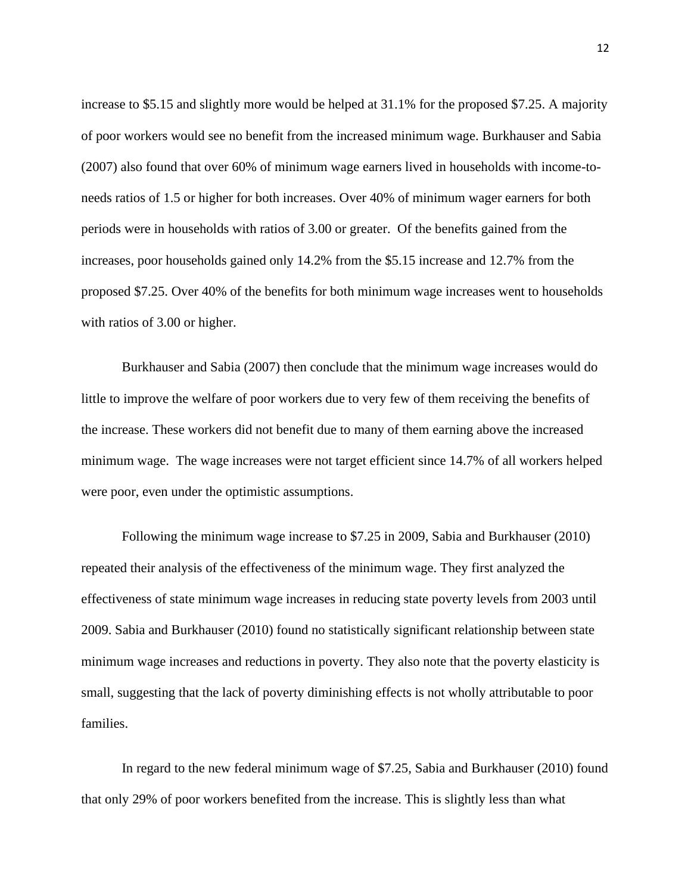increase to \$5.15 and slightly more would be helped at 31.1% for the proposed \$7.25. A majority of poor workers would see no benefit from the increased minimum wage. Burkhauser and Sabia (2007) also found that over 60% of minimum wage earners lived in households with income-toneeds ratios of 1.5 or higher for both increases. Over 40% of minimum wager earners for both periods were in households with ratios of 3.00 or greater. Of the benefits gained from the increases, poor households gained only 14.2% from the \$5.15 increase and 12.7% from the proposed \$7.25. Over 40% of the benefits for both minimum wage increases went to households with ratios of 3.00 or higher.

Burkhauser and Sabia (2007) then conclude that the minimum wage increases would do little to improve the welfare of poor workers due to very few of them receiving the benefits of the increase. These workers did not benefit due to many of them earning above the increased minimum wage. The wage increases were not target efficient since 14.7% of all workers helped were poor, even under the optimistic assumptions.

Following the minimum wage increase to \$7.25 in 2009, Sabia and Burkhauser (2010) repeated their analysis of the effectiveness of the minimum wage. They first analyzed the effectiveness of state minimum wage increases in reducing state poverty levels from 2003 until 2009. Sabia and Burkhauser (2010) found no statistically significant relationship between state minimum wage increases and reductions in poverty. They also note that the poverty elasticity is small, suggesting that the lack of poverty diminishing effects is not wholly attributable to poor families.

In regard to the new federal minimum wage of \$7.25, Sabia and Burkhauser (2010) found that only 29% of poor workers benefited from the increase. This is slightly less than what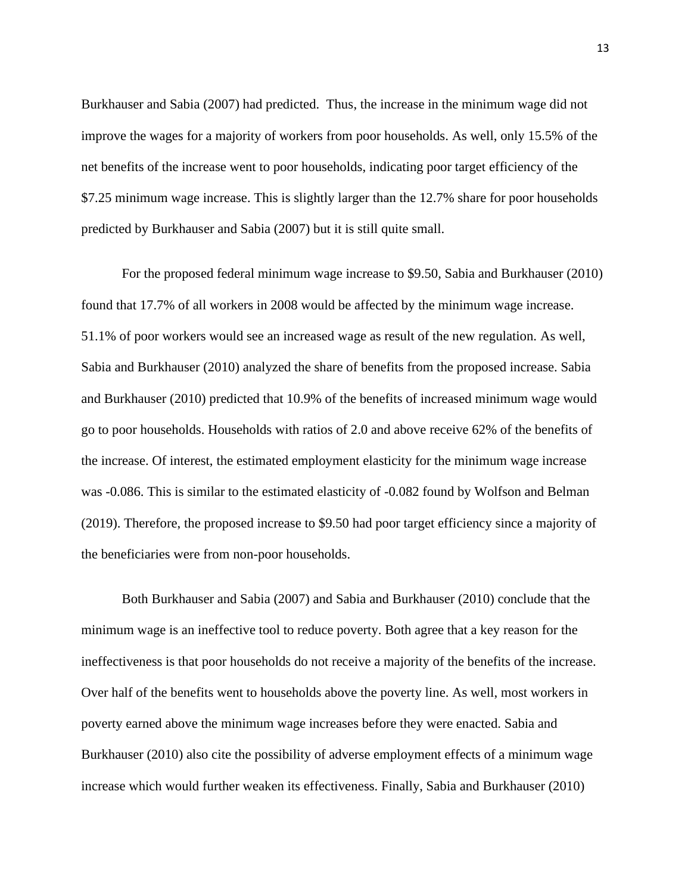Burkhauser and Sabia (2007) had predicted. Thus, the increase in the minimum wage did not improve the wages for a majority of workers from poor households. As well, only 15.5% of the net benefits of the increase went to poor households, indicating poor target efficiency of the \$7.25 minimum wage increase. This is slightly larger than the 12.7% share for poor households predicted by Burkhauser and Sabia (2007) but it is still quite small.

For the proposed federal minimum wage increase to \$9.50, Sabia and Burkhauser (2010) found that 17.7% of all workers in 2008 would be affected by the minimum wage increase. 51.1% of poor workers would see an increased wage as result of the new regulation. As well, Sabia and Burkhauser (2010) analyzed the share of benefits from the proposed increase. Sabia and Burkhauser (2010) predicted that 10.9% of the benefits of increased minimum wage would go to poor households. Households with ratios of 2.0 and above receive 62% of the benefits of the increase. Of interest, the estimated employment elasticity for the minimum wage increase was -0.086. This is similar to the estimated elasticity of -0.082 found by Wolfson and Belman (2019). Therefore, the proposed increase to \$9.50 had poor target efficiency since a majority of the beneficiaries were from non-poor households.

Both Burkhauser and Sabia (2007) and Sabia and Burkhauser (2010) conclude that the minimum wage is an ineffective tool to reduce poverty. Both agree that a key reason for the ineffectiveness is that poor households do not receive a majority of the benefits of the increase. Over half of the benefits went to households above the poverty line. As well, most workers in poverty earned above the minimum wage increases before they were enacted. Sabia and Burkhauser (2010) also cite the possibility of adverse employment effects of a minimum wage increase which would further weaken its effectiveness. Finally, Sabia and Burkhauser (2010)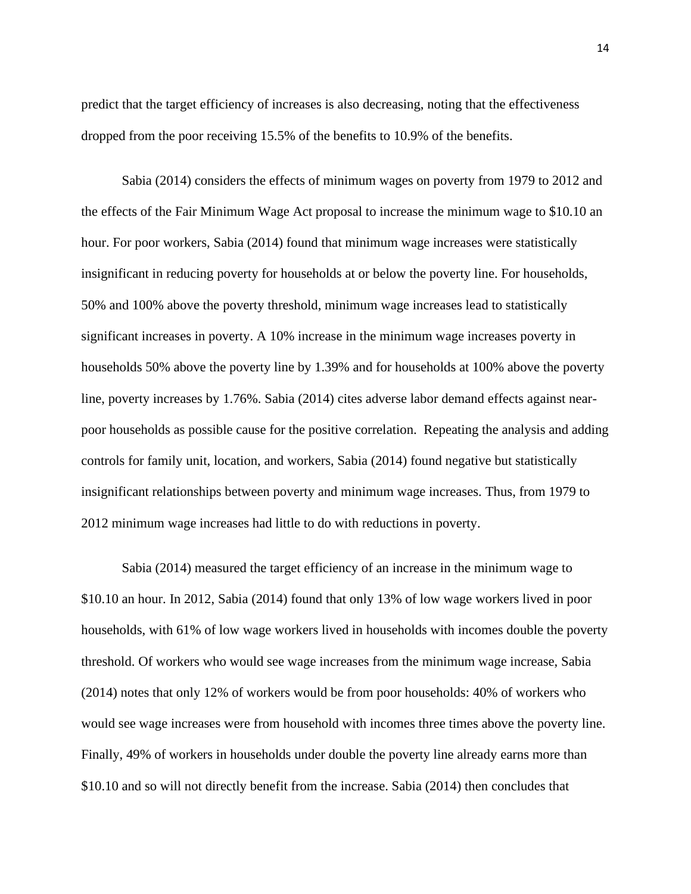predict that the target efficiency of increases is also decreasing, noting that the effectiveness dropped from the poor receiving 15.5% of the benefits to 10.9% of the benefits.

Sabia (2014) considers the effects of minimum wages on poverty from 1979 to 2012 and the effects of the Fair Minimum Wage Act proposal to increase the minimum wage to \$10.10 an hour. For poor workers, Sabia (2014) found that minimum wage increases were statistically insignificant in reducing poverty for households at or below the poverty line. For households, 50% and 100% above the poverty threshold, minimum wage increases lead to statistically significant increases in poverty. A 10% increase in the minimum wage increases poverty in households 50% above the poverty line by 1.39% and for households at 100% above the poverty line, poverty increases by 1.76%. Sabia (2014) cites adverse labor demand effects against nearpoor households as possible cause for the positive correlation. Repeating the analysis and adding controls for family unit, location, and workers, Sabia (2014) found negative but statistically insignificant relationships between poverty and minimum wage increases. Thus, from 1979 to 2012 minimum wage increases had little to do with reductions in poverty.

Sabia (2014) measured the target efficiency of an increase in the minimum wage to \$10.10 an hour. In 2012, Sabia (2014) found that only 13% of low wage workers lived in poor households, with 61% of low wage workers lived in households with incomes double the poverty threshold. Of workers who would see wage increases from the minimum wage increase, Sabia (2014) notes that only 12% of workers would be from poor households: 40% of workers who would see wage increases were from household with incomes three times above the poverty line. Finally, 49% of workers in households under double the poverty line already earns more than \$10.10 and so will not directly benefit from the increase. Sabia (2014) then concludes that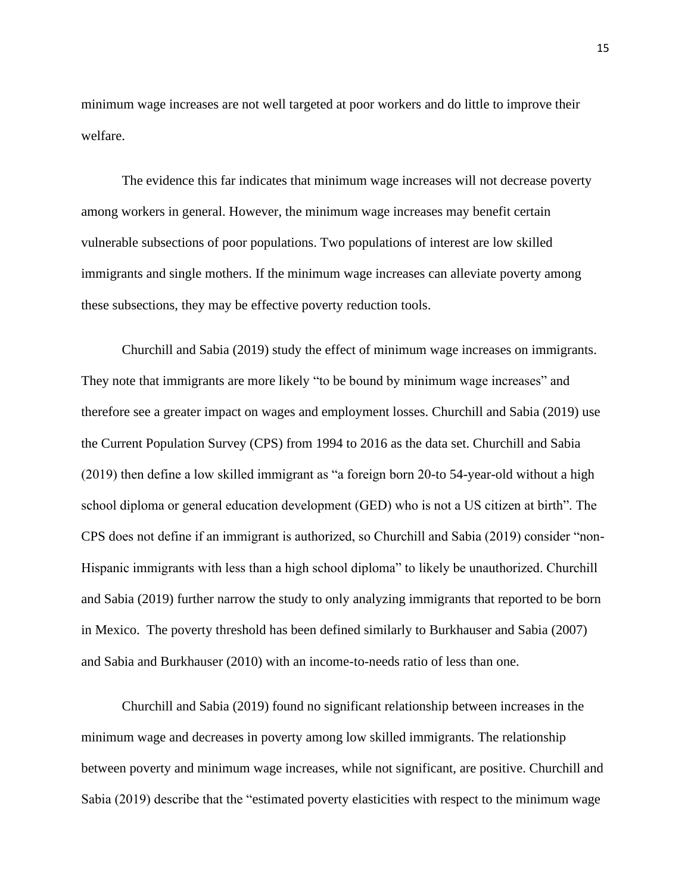minimum wage increases are not well targeted at poor workers and do little to improve their welfare.

The evidence this far indicates that minimum wage increases will not decrease poverty among workers in general. However, the minimum wage increases may benefit certain vulnerable subsections of poor populations. Two populations of interest are low skilled immigrants and single mothers. If the minimum wage increases can alleviate poverty among these subsections, they may be effective poverty reduction tools.

Churchill and Sabia (2019) study the effect of minimum wage increases on immigrants. They note that immigrants are more likely "to be bound by minimum wage increases" and therefore see a greater impact on wages and employment losses. Churchill and Sabia (2019) use the Current Population Survey (CPS) from 1994 to 2016 as the data set. Churchill and Sabia (2019) then define a low skilled immigrant as "a foreign born 20-to 54-year-old without a high school diploma or general education development (GED) who is not a US citizen at birth". The CPS does not define if an immigrant is authorized, so Churchill and Sabia (2019) consider "non-Hispanic immigrants with less than a high school diploma" to likely be unauthorized. Churchill and Sabia (2019) further narrow the study to only analyzing immigrants that reported to be born in Mexico. The poverty threshold has been defined similarly to Burkhauser and Sabia (2007) and Sabia and Burkhauser (2010) with an income-to-needs ratio of less than one.

Churchill and Sabia (2019) found no significant relationship between increases in the minimum wage and decreases in poverty among low skilled immigrants. The relationship between poverty and minimum wage increases, while not significant, are positive. Churchill and Sabia (2019) describe that the "estimated poverty elasticities with respect to the minimum wage

15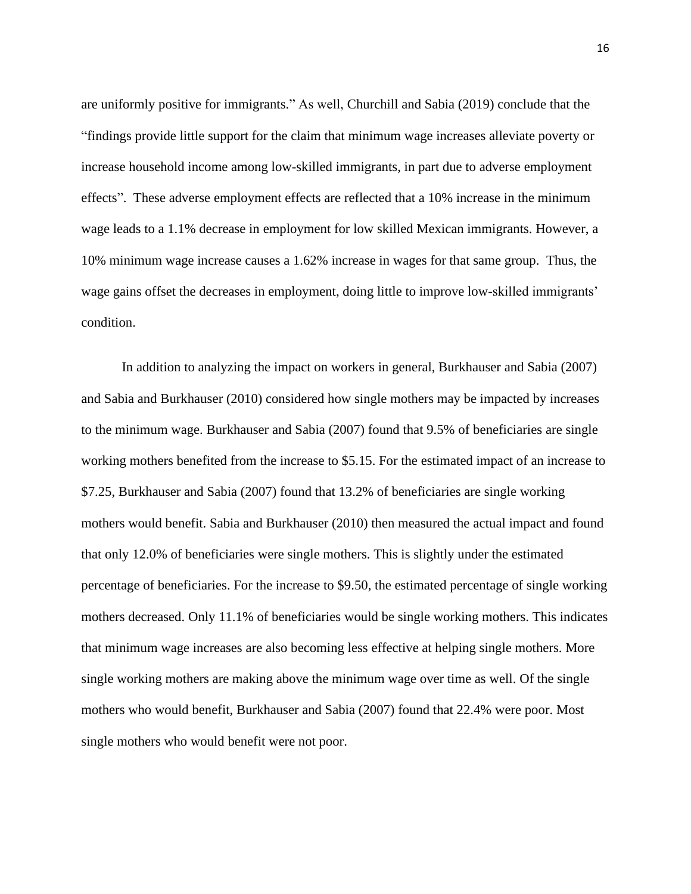are uniformly positive for immigrants." As well, Churchill and Sabia (2019) conclude that the "findings provide little support for the claim that minimum wage increases alleviate poverty or increase household income among low-skilled immigrants, in part due to adverse employment effects". These adverse employment effects are reflected that a 10% increase in the minimum wage leads to a 1.1% decrease in employment for low skilled Mexican immigrants. However, a 10% minimum wage increase causes a 1.62% increase in wages for that same group. Thus, the wage gains offset the decreases in employment, doing little to improve low-skilled immigrants' condition.

In addition to analyzing the impact on workers in general, Burkhauser and Sabia (2007) and Sabia and Burkhauser (2010) considered how single mothers may be impacted by increases to the minimum wage. Burkhauser and Sabia (2007) found that 9.5% of beneficiaries are single working mothers benefited from the increase to \$5.15. For the estimated impact of an increase to \$7.25, Burkhauser and Sabia (2007) found that 13.2% of beneficiaries are single working mothers would benefit. Sabia and Burkhauser (2010) then measured the actual impact and found that only 12.0% of beneficiaries were single mothers. This is slightly under the estimated percentage of beneficiaries. For the increase to \$9.50, the estimated percentage of single working mothers decreased. Only 11.1% of beneficiaries would be single working mothers. This indicates that minimum wage increases are also becoming less effective at helping single mothers. More single working mothers are making above the minimum wage over time as well. Of the single mothers who would benefit, Burkhauser and Sabia (2007) found that 22.4% were poor. Most single mothers who would benefit were not poor.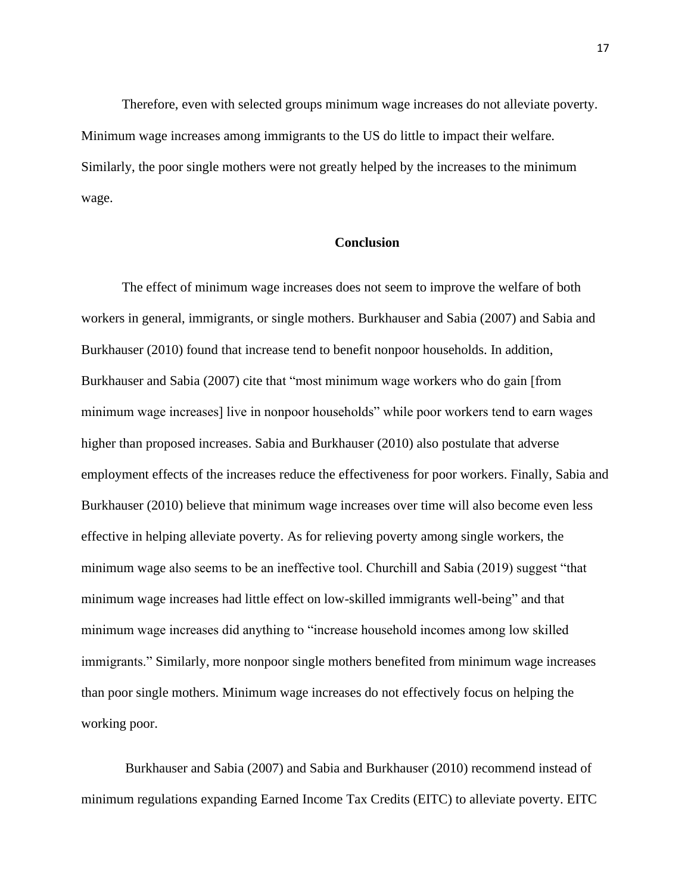Therefore, even with selected groups minimum wage increases do not alleviate poverty. Minimum wage increases among immigrants to the US do little to impact their welfare. Similarly, the poor single mothers were not greatly helped by the increases to the minimum wage.

#### **Conclusion**

The effect of minimum wage increases does not seem to improve the welfare of both workers in general, immigrants, or single mothers. Burkhauser and Sabia (2007) and Sabia and Burkhauser (2010) found that increase tend to benefit nonpoor households. In addition, Burkhauser and Sabia (2007) cite that "most minimum wage workers who do gain [from minimum wage increases] live in nonpoor households" while poor workers tend to earn wages higher than proposed increases. Sabia and Burkhauser (2010) also postulate that adverse employment effects of the increases reduce the effectiveness for poor workers. Finally, Sabia and Burkhauser (2010) believe that minimum wage increases over time will also become even less effective in helping alleviate poverty. As for relieving poverty among single workers, the minimum wage also seems to be an ineffective tool. Churchill and Sabia (2019) suggest "that minimum wage increases had little effect on low-skilled immigrants well-being" and that minimum wage increases did anything to "increase household incomes among low skilled immigrants." Similarly, more nonpoor single mothers benefited from minimum wage increases than poor single mothers. Minimum wage increases do not effectively focus on helping the working poor.

Burkhauser and Sabia (2007) and Sabia and Burkhauser (2010) recommend instead of minimum regulations expanding Earned Income Tax Credits (EITC) to alleviate poverty. EITC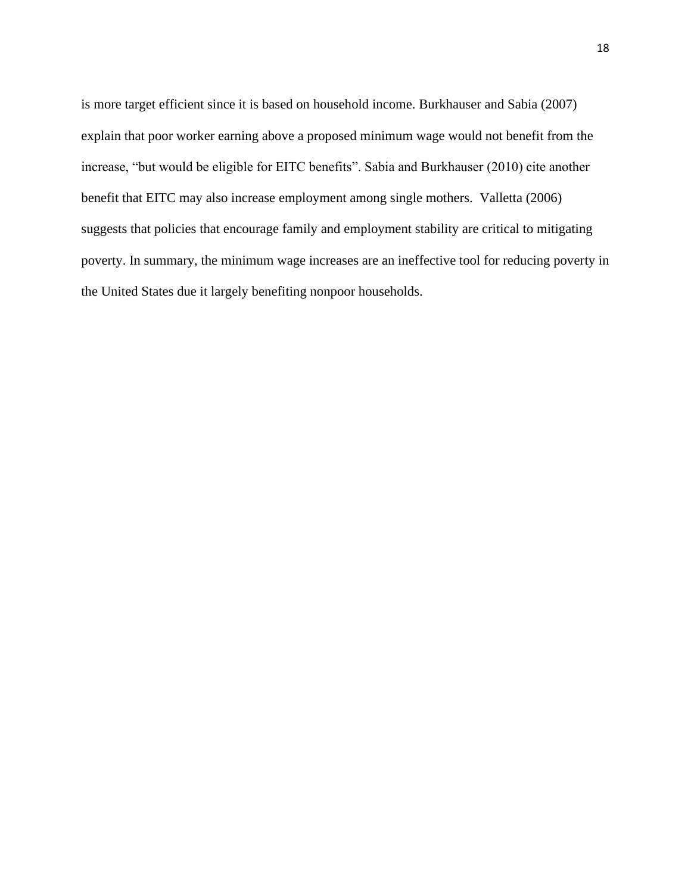is more target efficient since it is based on household income. Burkhauser and Sabia (2007) explain that poor worker earning above a proposed minimum wage would not benefit from the increase, "but would be eligible for EITC benefits". Sabia and Burkhauser (2010) cite another benefit that EITC may also increase employment among single mothers. Valletta (2006) suggests that policies that encourage family and employment stability are critical to mitigating poverty. In summary, the minimum wage increases are an ineffective tool for reducing poverty in the United States due it largely benefiting nonpoor households.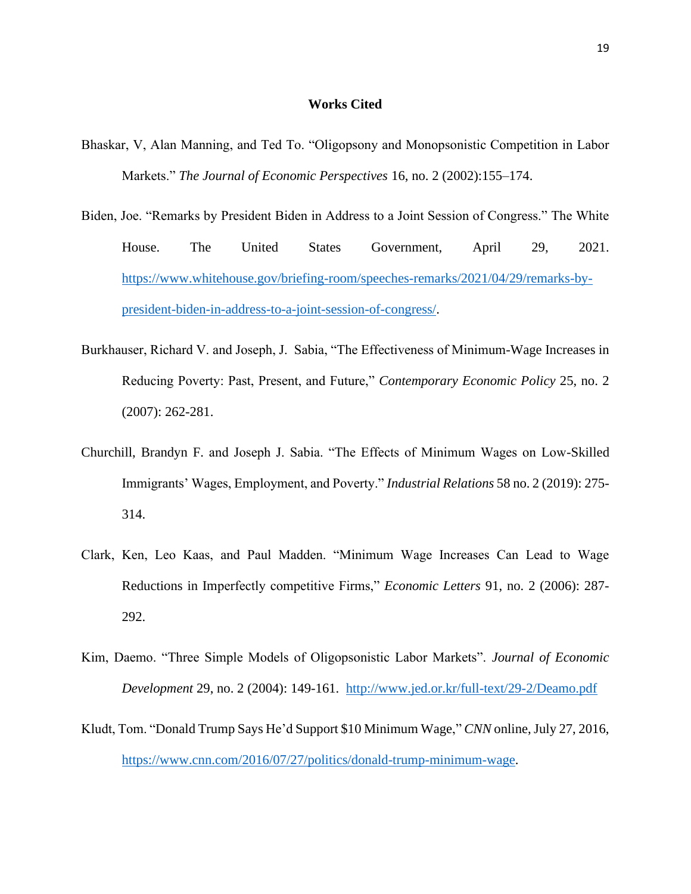#### **Works Cited**

- Bhaskar, V, Alan Manning, and Ted To. "Oligopsony and Monopsonistic Competition in Labor Markets." *The Journal of Economic Perspectives* 16, no. 2 (2002):155–174.
- Biden, Joe. "Remarks by President Biden in Address to a Joint Session of Congress." The White House. The United States Government, April 29, 2021. [https://www.whitehouse.gov/briefing-room/speeches-remarks/2021/04/29/remarks-by](https://www.whitehouse.gov/briefing-room/speeches-remarks/2021/04/29/remarks-by-president-biden-in-address-to-a-joint-session-of-congress/)[president-biden-in-address-to-a-joint-session-of-congress/.](https://www.whitehouse.gov/briefing-room/speeches-remarks/2021/04/29/remarks-by-president-biden-in-address-to-a-joint-session-of-congress/)
- Burkhauser, Richard V. and Joseph, J. Sabia, "The Effectiveness of Minimum-Wage Increases in Reducing Poverty: Past, Present, and Future," *Contemporary Economic Policy* 25, no. 2 (2007): 262-281.
- Churchill, Brandyn F. and Joseph J. Sabia. "The Effects of Minimum Wages on Low-Skilled Immigrants' Wages, Employment, and Poverty." *Industrial Relations* 58 no. 2 (2019): 275- 314.
- Clark, Ken, Leo Kaas, and Paul Madden. "Minimum Wage Increases Can Lead to Wage Reductions in Imperfectly competitive Firms," *Economic Letters* 91, no. 2 (2006): 287- 292.
- Kim, Daemo. "Three Simple Models of Oligopsonistic Labor Markets". *Journal of Economic Development* 29, no. 2 (2004): 149-161. <http://www.jed.or.kr/full-text/29-2/Deamo.pdf>
- Kludt, Tom. "Donald Trump Says He'd Support \$10 Minimum Wage," *CNN* online, July 27, 2016, [https://www.cnn.com/2016/07/27/politics/donald-trump-minimum-wage.](https://www.cnn.com/2016/07/27/politics/donald-trump-minimum-wage)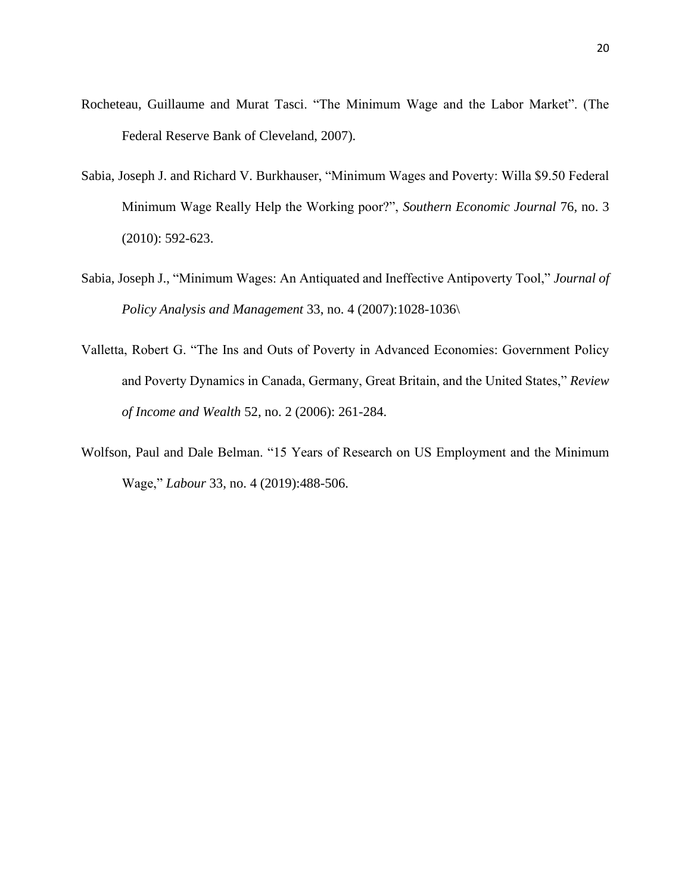- Rocheteau, Guillaume and Murat Tasci. "The Minimum Wage and the Labor Market". (The Federal Reserve Bank of Cleveland, 2007).
- Sabia, Joseph J. and Richard V. Burkhauser, "Minimum Wages and Poverty: Willa \$9.50 Federal Minimum Wage Really Help the Working poor?", *Southern Economic Journal* 76, no. 3 (2010): 592-623.
- Sabia, Joseph J., "Minimum Wages: An Antiquated and Ineffective Antipoverty Tool," *Journal of Policy Analysis and Management* 33, no. 4 (2007):1028-1036\
- Valletta, Robert G. "The Ins and Outs of Poverty in Advanced Economies: Government Policy and Poverty Dynamics in Canada, Germany, Great Britain, and the United States," *Review of Income and Wealth* 52, no. 2 (2006): 261-284.
- Wolfson, Paul and Dale Belman. "15 Years of Research on US Employment and the Minimum Wage," *Labour* 33, no. 4 (2019):488-506.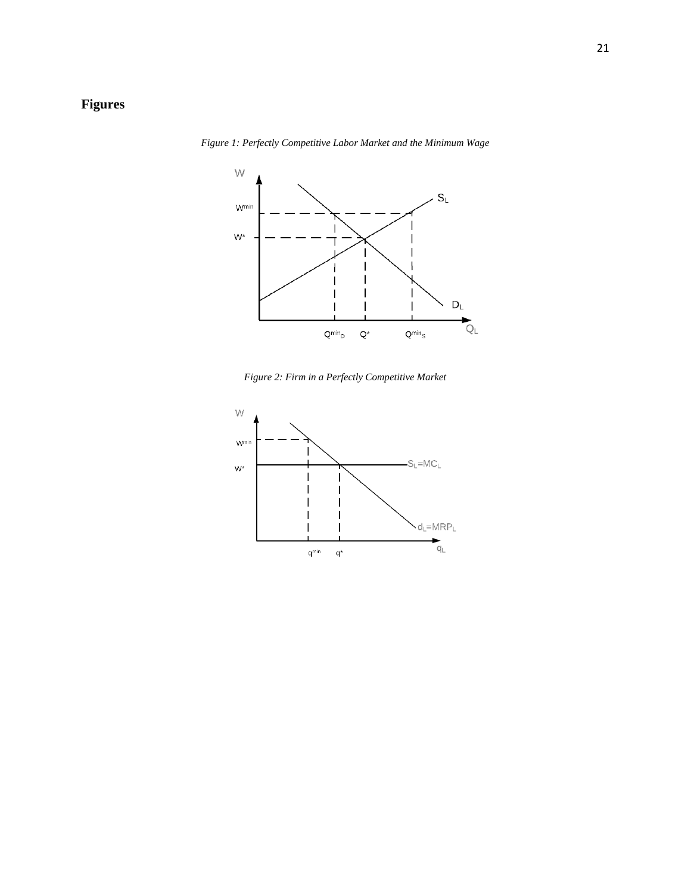## **Figures**



*Figure 1: Perfectly Competitive Labor Market and the Minimum Wage*

*Figure 2: Firm in a Perfectly Competitive Market*

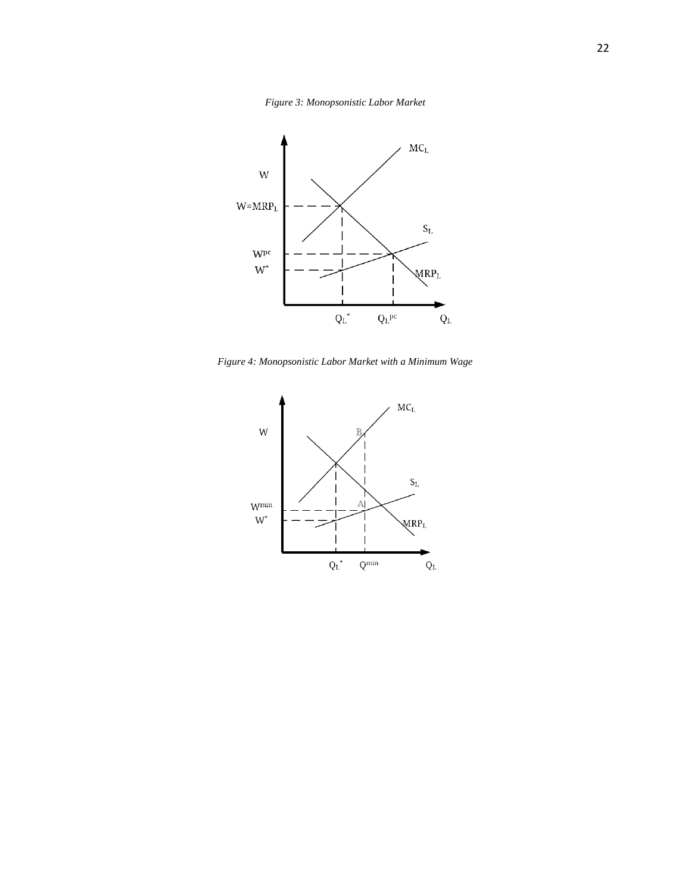*Figure 3: Monopsonistic Labor Market*



*Figure 4: Monopsonistic Labor Market with a Minimum Wage*